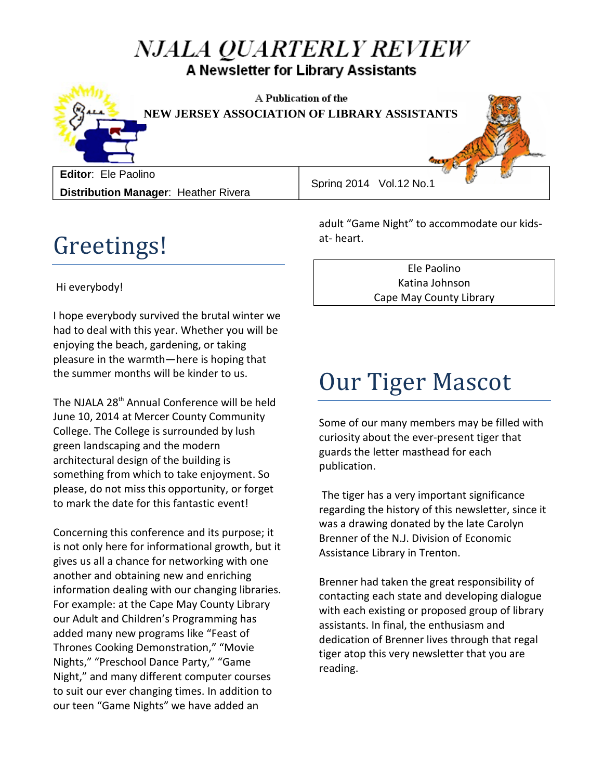#### NJALA QUARTERLY REVIEW A Newsletter for Library Assistants



A Publication of the **NEW JERSEY ASSOCIATION OF LIBRARY ASSISTANTS**

**Editor**: Ele Paolino **Distribution Manager**: Heather Rivera

Spring 2014 Vol.12 No.1

## Greetings!

Hi everybody!

I hope everybody survived the brutal winter we had to deal with this year. Whether you will be enjoying the beach, gardening, or taking pleasure in the warmth—here is hoping that the summer months will be kinder to us.

The NJALA 28<sup>th</sup> Annual Conference will be held June 10, 2014 at Mercer County Community College. The College is surrounded by lush green landscaping and the modern architectural design of the building is something from which to take enjoyment. So please, do not miss this opportunity, or forget to mark the date for this fantastic event!

Concerning this conference and its purpose; it is not only here for informational growth, but it gives us all a chance for networking with one another and obtaining new and enriching information dealing with our changing libraries. For example: at the Cape May County Library our Adult and Children's Programming has added many new programs like "Feast of Thrones Cooking Demonstration," "Movie Nights," "Preschool Dance Party," "Game Night," and many different computer courses to suit our ever changing times. In addition to our teen "Game Nights" we have added an

adult "Game Night" to accommodate our kidsat- heart.

> Ele Paolino Katina Johnson Cape May County Library

# Our Tiger Mascot

Some of our many members may be filled with curiosity about the ever-present tiger that guards the letter masthead for each publication.

The tiger has a very important significance regarding the history of this newsletter, since it was a drawing donated by the late Carolyn Brenner of the N.J. Division of Economic Assistance Library in Trenton.

Brenner had taken the great responsibility of contacting each state and developing dialogue with each existing or proposed group of library assistants. In final, the enthusiasm and dedication of Brenner lives through that regal tiger atop this very newsletter that you are reading.